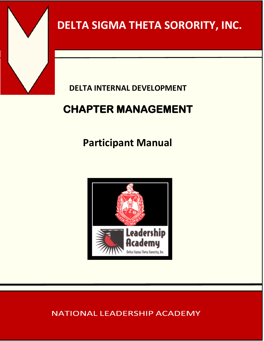

# **DELTA SIGMA THETA SORORITY, INC.**

### **DELTA INTERNAL DEVELOPMENT**

# **CHAPTER MANAGEMENT**

# **Participant Manual**



### **NATIONAL LEADERSHIP ACADEMY**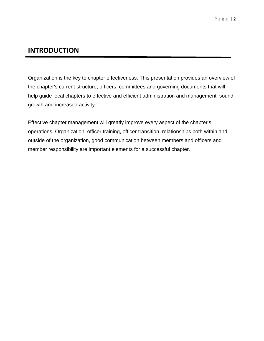### **INTRODUCTION**

Organization is the key to chapter effectiveness. This presentation provides an overview of the chapter's current structure, officers, committees and governing documents that will help guide local chapters to effective and efficient administration and management, sound growth and increased activity.

Effective chapter management will greatly improve every aspect of the chapter's operations. Organization, officer training, officer transition, relationships both within and outside of the organization, good communication between members and officers and member responsibility are important elements for a successful chapter.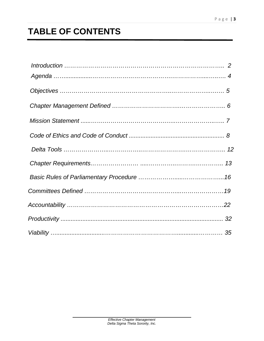# **TABLE OF CONTENTS**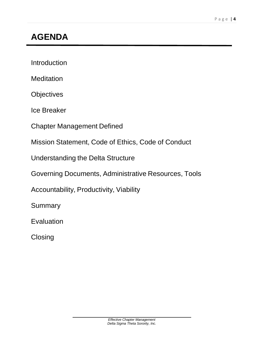## **AGENDA**

Introduction

**Meditation** 

**Objectives** 

Ice Breaker

Chapter Management Defined

Mission Statement, Code of Ethics, Code of Conduct

Understanding the Delta Structure

Governing Documents, Administrative Resources, Tools

Accountability, Productivity, Viability

**Summary** 

Evaluation

**Closing**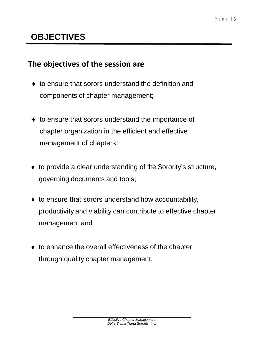## **OBJECTIVES**

### **The objectives of the session are**

- ♦ to ensure that sorors understand the definition and components of chapter management;
- ♦ to ensure that sorors understand the importance of chapter organization in the efficient and effective management of chapters;
- ◆ to provide a clear understanding of the Sorority's structure, governing documents and tools;
- to ensure that sorors understand how accountability, productivity and viability can contribute to effective chapter management and
- $\bullet$  to enhance the overall effectiveness of the chapter through quality chapter management.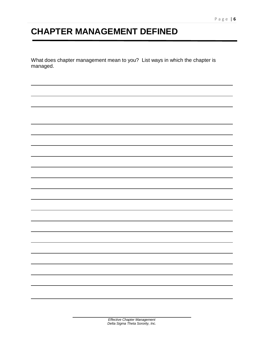## **CHAPTER MANAGEMENT DEFINED**

What does chapter management mean to you? List ways in which the chapter is managed.

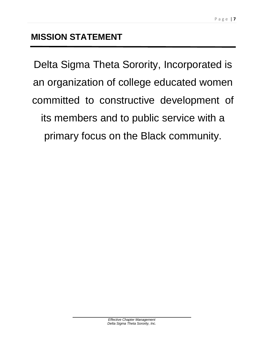Delta Sigma Theta Sorority, Incorporated is an organization of college educated women committed to constructive development of its members and to public service with a primary focus on the Black community.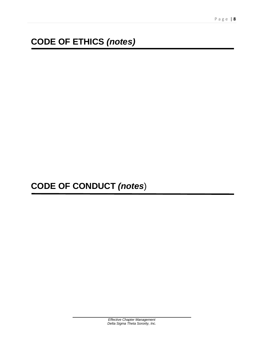## **CODE OF ETHICS** *(notes)*

**CODE OF CONDUCT** *(notes*)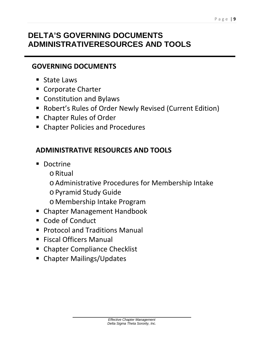### **DELTA'S GOVERNING DOCUMENTS ADMINISTRATIVERESOURCES AND TOOLS**

### **GOVERNING DOCUMENTS**

- State Laws
- Corporate Charter
- **Constitution and Bylaws**
- Robert's Rules of Order Newly Revised (Current Edition)
- Chapter Rules of Order
- **EX Chapter Policies and Procedures**

### **ADMINISTRATIVE RESOURCES AND TOOLS**

- **Doctrine** 
	- oRitual
	- oAdministrative Procedures for Membership Intake
	- oPyramid Study Guide
	- o Membership Intake Program
- Chapter Management Handbook
- Code of Conduct
- **Protocol and Traditions Manual**
- Fiscal Officers Manual
- **EX Chapter Compliance Checklist**
- **EXECUTE:** Chapter Mailings/Updates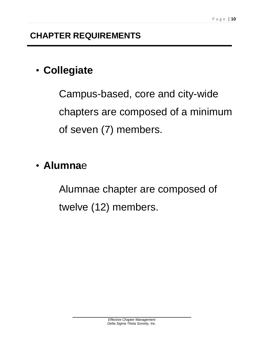# • **Collegiate**

Campus-based, core and city-wide chapters are composed of a minimum of seven (7) members.

# • **Alumna**e

Alumnae chapter are composed of twelve (12) members.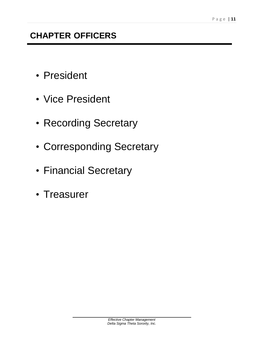### **CHAPTER OFFICERS**

- President
- Vice President
- Recording Secretary
- Corresponding Secretary
- Financial Secretary
- Treasurer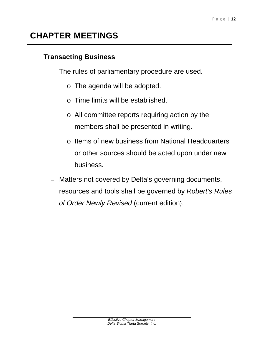### **CHAPTER MEETINGS**

### **Transacting Business**

- The rules of parliamentary procedure are used.
	- o The agenda will be adopted.
	- o Time limits will be established.
	- o All committee reports requiring action by the members shall be presented in writing.
	- o Items of new business from National Headquarters or other sources should be acted upon under new business.
- Matters not covered by Delta's governing documents, resources and tools shall be governed by *Robert's Rules of Order Newly Revised* (current edition).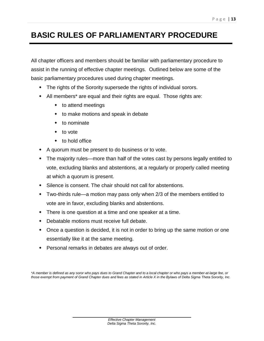### **BASIC RULES OF PARLIAMENTARY PROCEDURE**

All chapter officers and members should be familiar with parliamentary procedure to assist in the running of effective chapter meetings. Outlined below are some of the basic parliamentary procedures used during chapter meetings.

- The rights of the Sorority supersede the rights of individual sorors.
- All members\* are equal and their rights are equal. Those rights are:
	- to attend meetings
	- to make motions and speak in debate
	- $\bullet$  to nominate
	- to vote
	- to hold office
- A quorum must be present to do business or to vote.
- The majority rules—more than half of the votes cast by persons legally entitled to vote, excluding blanks and abstentions, at a regularly or properly called meeting at which a quorum is present.
- Silence is consent. The chair should not call for abstentions.
- Two-thirds rule—a motion may pass only when 2/3 of the members entitled to vote are in favor, excluding blanks and abstentions.
- There is one question at a time and one speaker at a time.
- Debatable motions must receive full debate.
- Once a question is decided, it is not in order to bring up the same motion or one essentially like it at the same meeting.
- Personal remarks in debates are always out of order.

*\*A member is defined as any soror who pays dues to Grand Chapter and to a local chapter or who pays a member-at-large fee, or*  those exempt from payment of Grand Chapter dues and fees as stated in Article X in the Bylaws of Delta Sigma Theta Sorority, Inc.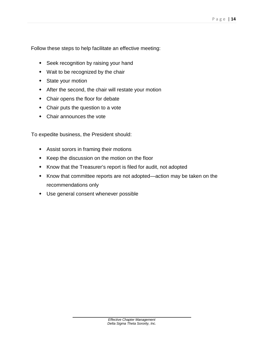Follow these steps to help facilitate an effective meeting:

- Seek recognition by raising your hand
- Wait to be recognized by the chair
- State your motion
- After the second, the chair will restate your motion
- Chair opens the floor for debate
- Chair puts the question to a vote
- Chair announces the vote

To expedite business, the President should:

- Assist sorors in framing their motions
- \* Keep the discussion on the motion on the floor
- Know that the Treasurer's report is filed for audit, not adopted
- Know that committee reports are not adopted—action may be taken on the recommendations only
- Use general consent whenever possible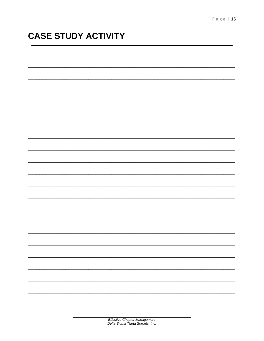## **CASE STUDY ACTIVITY**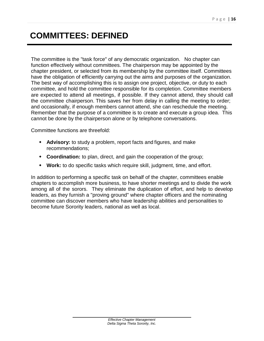### **COMMITTEES: DEFINED**

The committee is the "task force" of any democratic organization. No chapter can function effectively without committees. The chairperson may be appointed by the chapter president, or selected from its membership by the committee itself. Committees have the obligation of efficiently carrying out the aims and purposes of the organization. The best way of accomplishing this is to assign one project, objective, or duty to each committee, and hold the committee responsible for its completion. Committee members are expected to attend all meetings, if possible. If they cannot attend, they should call the committee chairperson. This saves her from delay in calling the meeting to order; and occasionally, if enough members cannot attend, she can reschedule the meeting. Remember that the purpose of a committee is to create and execute a group idea. This cannot be done by the chairperson alone or by telephone conversations.

Committee functions are threefold:

- **Advisory:** to study a problem, report facts and figures, and make recommendations;
- **Coordination:** to plan, direct, and gain the cooperation of the group;
- **Work:** to do specific tasks which require skill, judgment, time, and effort.

In addition to performing a specific task on behalf of the chapter, committees enable chapters to accomplish more business, to have shorter meetings and to divide the work among all of the sorors. They eliminate the duplication of effort, and help to develop leaders, as they furnish a "proving ground" where chapter officers and the nominating committee can discover members who have leadership abilities and personalities to become future Sorority leaders, national as well as local.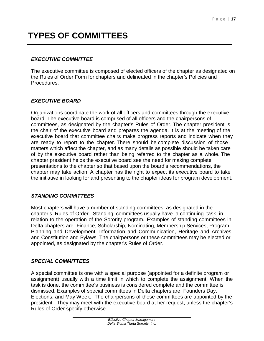## **TYPES OF COMMITTEES**

#### *EXECUTIVE COMMITTEE*

The executive committee is composed of elected officers of the chapter as designated on the Rules of Order Form for chapters and delineated in the chapter's Policies and Procedures.

#### *EXECUTIVE BOARD*

Organizations coordinate the work of all officers and committees through the executive board. The executive board is comprised of all officers and the chairpersons of committees, as designated by the chapter's Rules of Order. The chapter president is the chair of the executive board and prepares the agenda. It is at the meeting of the executive board that committee chairs make progress reports and indicate when they are ready to report to the chapter. There should be complete discussion of those matters which affect the chapter, and as many details as possible should be taken care of by the executive board rather than being referred to the chapter as a whole. The chapter president helps the executive board see the need for making complete presentations to the chapter so that based upon the board's recommendations, the chapter may take action. A chapter has the right to expect its executive board to take the initiative in looking for and presenting to the chapter ideas for program development.

#### *STANDING COMMITTEES*

Most chapters will have a number of standing committees, as designated in the chapter's Rules of Order. Standing committees usually have a continuing task in relation to the operation of the Sorority program. Examples of standing committees in Delta chapters are: Finance, Scholarship, Nominating, Membership Services, Program Planning and Development, Information and Communication, Heritage and Archives, and Constitution and Bylaws. The chairpersons or these committees may be elected or appointed, as designated by the chapter's Rules of Order.

#### *SPECIAL COMMITTEES*

A special committee is one with a special purpose (appointed for a definite program or assignment) usually with a time limit in which to complete the assignment. When the task is done, the committee's business is considered complete and the committee is dismissed. Examples of special committees in Delta chapters are: Founders Day, Elections, and May Week. The chairpersons of these committees are appointed by the president. They may meet with the executive board at her request, unless the chapter's Rules of Order specify otherwise.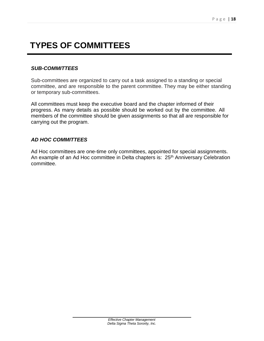## **TYPES OF COMMITTEES**

#### *SUB-COMMITTEES*

Sub-committees are organized to carry out a task assigned to a standing or special committee, and are responsible to the parent committee. They may be either standing or temporary sub-committees.

All committees must keep the executive board and the chapter informed of their progress. As many details as possible should be worked out by the committee. All members of the committee should be given assignments so that all are responsible for carrying out the program.

#### *AD HOC COMMITTEES*

Ad Hoc committees are one-time only committees, appointed for special assignments. An example of an Ad Hoc committee in Delta chapters is: 25<sup>th</sup> Anniversary Celebration committee.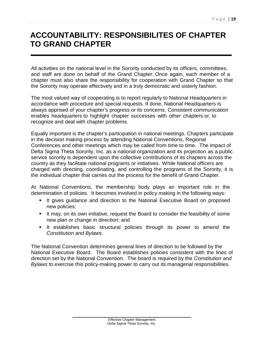### **ACCOUNTABILITY: RESPONSIBILITES OF CHAPTER TO GRAND CHAPTER**

All activities on the national level in the Sorority conducted by its officers, committees, and staff are done on behalf of the Grand Chapter. Once again, each member of a chapter must also share the responsibility for cooperation with Grand Chapter so that the Sorority may operate effectively and in a truly democratic and sisterly fashion.

The most valued way of cooperating is to report regularly to National Headquarters in accordance with procedure and special requests. If done, National Headquarters is always apprised of your chapter's progress or its concerns. Consistent communication enables headquarters to highlight chapter successes with other chapters or, to recognize and deal with chapter problems.

Equally important is the chapter's participation in national meetings. Chapters participate in the decision making process by attending National Conventions, Regional Conferences and other meetings which may be called from time to time. The impact of Delta Sigma Theta Sorority, Inc. as a national organization and its projection as a public service sorority is dependent upon the collective contributions of its chapters across the country as they facilitate national programs or initiatives. While National officers are charged with directing, coordinating, and controlling the programs of the Sorority, it is the individual chapter that carries out the process for the benefit of Grand Chapter.

At National Conventions, the membership body plays an important role in the determination of policies. It becomes involved in policy making in the following ways:

- It gives guidance and direction to the National Executive Board on proposed new policies;
- It may, on its own initiative, request the Board to consider the feasibility of some new plan or change in direction; and
- It establishes basic structural policies through its power to amend the *Constitution and Bylaws*.

The National Convention determines general lines of direction to be followed by the National Executive Board. The Board establishes policies consistent with the lines of direction set by the National Convention. The board is required by the *Constitution and Bylaws* to exercise this policy-making power to carry out its managerial responsibilities.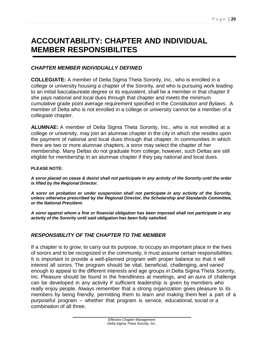### **ACCOUNTABILITY: CHAPTER AND INDIVIDUAL MEMBER RESPONSIBILITES**

#### *CHAPTER MEMBER INDIVIDUALLY DEFINED*

**COLLEGIATE:** A member of Delta Sigma Theta Sorority, Inc., who is enrolled in a college or university housing a chapter of the Sorority, and who is pursuing work leading to an initial baccalaureate degree or its equivalent, shall be a member in that chapter if she pays national and local dues through that chapter and meets the minimum cumulative grade point average requirement specified in the *Constitution and Bylaws*. A member of Delta who is not enrolled in a college or university cannot be a member of a collegiate chapter.

**ALUMNAE:** A member of Delta Sigma Theta Sorority, Inc., who is not enrolled at a college or university, may join an alumnae chapter in the city in which she resides upon the payment of national and local dues through that chapter. In communities in which there are two or more alumnae chapters, a soror may select the chapter of her membership. Many Deltas do not graduate from college; however, such Deltas are still eligible for membership in an alumnae chapter if they pay national and local dues.

#### **PLEASE NOTE:**

*A soror placed on cease & desist shall not participate in any activity of the Sorority until the order is lifted by the Regional Director.*

*A soror on probation or under suspension shall not participate in any activity of the Sorority, unless otherwise prescribed by the Regional Director, the Scholarship and Standards Committee, or the National President.*

*A soror against whom a fine or financial obligation has been imposed shall not participate in any activity of the Sorority until said obligation has been fully satisfied.*

#### *RESPONSIBILITY OF THE CHAPTER TO THE MEMBER*

If a chapter is to grow, to carry out its purpose, to occupy an important place in the lives of sorors and to be recognized in the community, it must assume certain responsibilities. It is important to provide a well-planned program with proper balance so that it will interest all sorors. The program should be vital, beneficial, challenging, and varied enough to appeal to the different interests and age groups in Delta Sigma Theta Sorority, Inc. Pleasure should be found in the friendliness at meetings, and an aura of challenge can be developed in any activity if sufficient leadership is given by members who really enjoy people. Always remember that a strong organization gives pleasure to its members by being friendly, permitting them to learn and making them feel a part of a purposeful program – whether that program is service, educational, social or a combination of all three.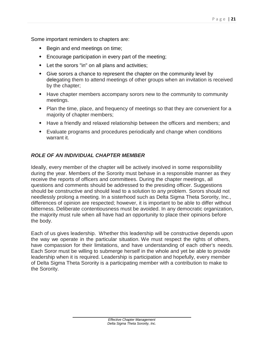Some important reminders to chapters are:

- ◆ Begin and end meetings on time;
- Encourage participation in every part of the meeting;
- Let the sorors "in" on all plans and activities;
- Give sorors a chance to represent the chapter on the community level by delegating them to attend meetings of other groups when an invitation is received by the chapter;
- Have chapter members accompany sorors new to the community to community meetings.
- Plan the time, place, and frequency of meetings so that they are convenient for a majority of chapter members;
- Have a friendly and relaxed relationship between the officers and members; and
- Evaluate programs and procedures periodically and change when conditions warrant it.

#### *ROLE OF AN INDIVIDUAL CHAPTER MEMBER*

Ideally, every member of the chapter will be actively involved in some responsibility during the year. Members of the Sorority must behave in a responsible manner as they receive the reports of officers and committees. During the chapter meetings, all questions and comments should be addressed to the presiding officer. Suggestions should be constructive and should lead to a solution to any problem. Sorors should not needlessly prolong a meeting. In a sisterhood such as Delta Sigma Theta Sorority, Inc., differences of opinion are respected; however, it is important to be able to differ without bitterness. Deliberate contentiousness must be avoided. In any democratic organization, the majority must rule when all have had an opportunity to place their opinions before the body.

Each of us gives leadership. Whether this leadership will be constructive depends upon the way we operate in the particular situation. We must respect the rights of others, have compassion for their limitations, and have understanding of each other's needs. Each Soror must be willing to submerge herself in the whole and yet be able to provide leadership when it is required. Leadership is participation and hopefully, every member of Delta Sigma Theta Sorority is a participating member with a contribution to make to the Sorority.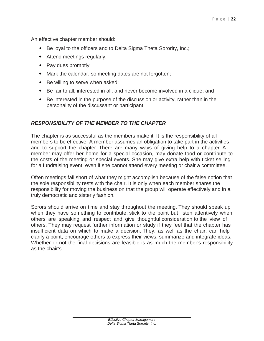An effective chapter member should:

- Be loyal to the officers and to Delta Sigma Theta Sorority, Inc.;
- Attend meetings regularly;
- Pay dues promptly;
- Mark the calendar, so meeting dates are not forgotten;
- Be willing to serve when asked;
- Be fair to all, interested in all, and never become involved in a clique; and
- Be interested in the purpose of the discussion or activity, rather than in the personality of the discussant or participant.

#### *RESPONSIBILITY OF THE MEMBER TO THE CHAPTER*

The chapter is as successful as the members make it. It is the responsibility of all members to be effective. A member assumes an obligation to take part in the activities and to support the chapter. There are many ways of giving help to a chapter. A member may offer her home for a special occasion, may donate food or contribute to the costs of the meeting or special events. She may give extra help with ticket selling for a fundraising event, even if she cannot attend every meeting or chair a committee.

Often meetings fall short of what they might accomplish because of the false notion that the sole responsibility rests with the chair. It is only when each member shares the responsibility for moving the business on that the group will operate effectively and in a truly democratic and sisterly fashion.

Sorors should arrive on time and stay throughout the meeting. They should speak up when they have something to contribute, stick to the point but listen attentively when others are speaking, and respect and give thoughtful consideration to the view of others. They may request further information or study if they feel that the chapter has insufficient data on which to make a decision. They, as well as the chair, can help clarify a point, encourage others to express their views, summarize and integrate ideas. Whether or not the final decisions are feasible is as much the member's responsibility as the chair's.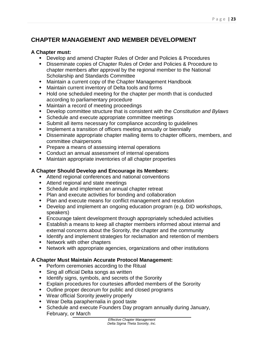#### **CHAPTER MANAGEMENT AND MEMBER DEVELOPMENT**

#### **A Chapter must:**

- Develop and amend Chapter Rules of Order and Policies & Procedures
- Disseminate copies of Chapter Rules of Order and Policies & Procedure to chapter members after approval by the regional member to the National Scholarship and Standards Committee
- Maintain a current copy of the Chapter Management Handbook
- Maintain current inventory of Delta tools and forms
- Hold one scheduled meeting for the chapter per month that is conducted according to parliamentary procedure
- Maintain a record of meeting proceedings
- Develop committee structure that is consistent with the *Constitution and Bylaws*
- Schedule and execute appropriate committee meetings
- Submit all items necessary for compliance according to guidelines
- Implement a transition of officers meeting annually or biennially
- Disseminate appropriate chapter mailing items to chapter officers, members, and committee chairpersons
- Prepare a means of assessing internal operations
- Conduct an annual assessment of internal operations
- Maintain appropriate inventories of all chapter properties

#### **A Chapter Should Develop and Encourage its Members:**

- Attend regional conferences and national conventions
- Attend regional and state meetings
- Schedule and implement an annual chapter retreat
- Plan and execute activities for bonding and collaboration
- Plan and execute means for conflict management and resolution
- Develop and implement an ongoing education program (e.g. DID workshops, speakers)
- Encourage talent development through appropriately scheduled activities
- Establish a means to keep all chapter members informed about internal and external concerns about the Sorority, the chapter and the community
- Identify and implement strategies for reclamation and retention of members
- Network with other chapters
- Network with appropriate agencies, organizations and other institutions

#### **A Chapter Must Maintain Accurate Protocol Management:**

- Perform ceremonies according to the Ritual
- Sing all official Delta songs as written
- Identify signs, symbols, and secrets of the Sorority
- Explain procedures for courtesies afforded members of the Sorority
- Outline proper decorum for public and closed programs
- Wear official Sorority jewelry properly
- Wear Delta paraphernalia in good taste
- Schedule and execute Founders Day program annually during January, February, or March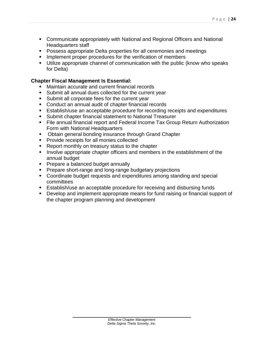- Communicate appropriately with National and Regional Officers and National Headquarters staff
- Possess appropriate Delta properties for all ceremonies and meetings
- Implement proper procedures for the verification of members
- Utilize appropriate channel of communication with the public (know who speaks for Delta)

#### **Chapter Fiscal Management Is Essential:**

- Maintain accurate and current financial records
- Submit all annual dues collected for the current year
- Submit all corporate fees for the current year
- Conduct an annual audit of chapter financial records
- Establish/use an acceptable procedure for recording receipts and expenditures
- Submit chapter financial statement to National Treasurer
- File annual financial report and Federal Income Tax Group Return Authorization Form with National Headquarters
- Obtain general bonding insurance through Grand Chapter
- Provide receipts for all monies collected
- Report monthly on treasury status to the chapter
- Involve appropriate chapter officers and members in the establishment of the annual budget
- Prepare a balanced budget annually
- Prepare short-range and long-range budgetary projections
- Coordinate budget requests and expenditures among standing and special committees
- Establish/use an acceptable procedure for receiving and disbursing funds
- Develop and implement appropriate means for fund raising or financial support of the chapter program planning and development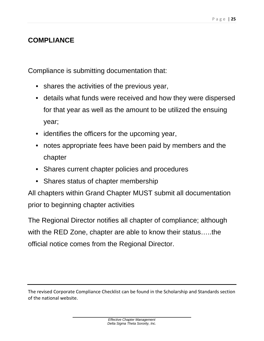### **COMPLIANCE**

Compliance is submitting documentation that:

- shares the activities of the previous year,
- details what funds were received and how they were dispersed for that year as well as the amount to be utilized the ensuing year;
- identifies the officers for the upcoming year,
- notes appropriate fees have been paid by members and the chapter
- Shares current chapter policies and procedures
- Shares status of chapter membership

All chapters within Grand Chapter MUST submit all documentation prior to beginning chapter activities

The Regional Director notifies all chapter of compliance; although with the RED Zone, chapter are able to know their status…..the official notice comes from the Regional Director.

The revised Corporate Compliance Checklist can be found in the Scholarship and Standards section of the national website.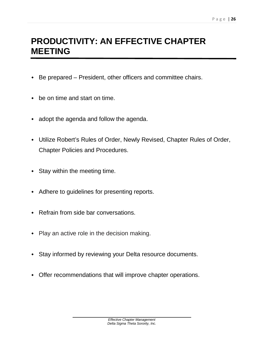## **PRODUCTIVITY: AN EFFECTIVE CHAPTER MEETING**

- Be prepared President, other officers and committee chairs.
- be on time and start on time.
- adopt the agenda and follow the agenda.
- Utilize Robert's Rules of Order, Newly Revised, Chapter Rules of Order, Chapter Policies and Procedures.
- Stay within the meeting time.
- Adhere to guidelines for presenting reports.
- Refrain from side bar conversations.
- Play an active role in the decision making.
- Stay informed by reviewing your Delta resource documents.
- Offer recommendations that will improve chapter operations.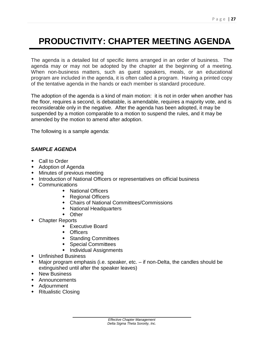## **PRODUCTIVITY: CHAPTER MEETING AGENDA**

The agenda is a detailed list of specific items arranged in an order of business. The agenda may or may not be adopted by the chapter at the beginning of a meeting. When non-business matters, such as guest speakers, meals, or an educational program are included in the agenda, it is often called a program. Having a printed copy of the tentative agenda in the hands or each member is standard procedure.

The adoption of the agenda is a kind of main motion: it is not in order when another has the floor, requires a second, is debatable, is amendable, requires a majority vote, and is reconsiderable only in the negative. After the agenda has been adopted, it may be suspended by a motion comparable to a motion to suspend the rules, and it may be amended by the motion to amend after adoption.

The following is a sample agenda:

#### *SAMPLE AGENDA*

- Call to Order
- Adoption of Agenda
- Minutes of previous meeting
- Introduction of National Officers or representatives on official business
- Communications
	- National Officers
	- Regional Officers
	- Chairs of National Committees/Commissions
	- National Headquarters
	- Other
- Chapter Reports
	- Executive Board
	- Officers
	- Standing Committees
	- Special Committees
	- **•** Individual Assignments
- Unfinished Business
- Major program emphasis (i.e. speaker, etc. if non-Delta, the candles should be extinguished until after the speaker leaves)
- ◆ New Business
- Announcements
- Adjournment
- **\*** Ritualistic Closing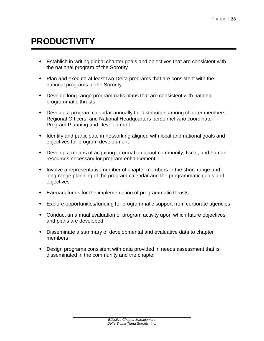## **PRODUCTIVITY**

- Establish in writing global chapter goals and objectives that are consistent with the national program of the Sorority
- Plan and execute at least two Delta programs that are consistent with the national programs of the Sorority
- Develop long-range programmatic plans that are consistent with national programmatic thrusts
- Develop a program calendar annually for distribution among chapter members, Regional Officers, and National Headquarters personnel who coordinate Program Planning and Development
- Identify and participate in networking aligned with local and national goals and objectives for program development
- Develop a means of acquiring information about community, fiscal, and human resources necessary for program enhancement
- Involve a representative number of chapter members in the short-range and long-range planning of the program calendar and the programmatic goals and objectives
- Earmark funds for the implementation of programmatic thrusts
- Explore opportunities/funding for programmatic support from corporate agencies
- Conduct an annual evaluation of program activity upon which future objectives and plans are developed
- Disseminate a summary of developmental and evaluative data to chapter members
- Design programs consistent with data provided in needs assessment that is disseminated in the community and the chapter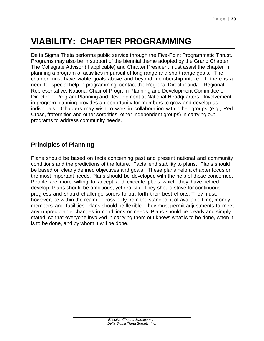## **VIABILITY: CHAPTER PROGRAMMING**

Delta Sigma Theta performs public service through the Five-Point Programmatic Thrust. Programs may also be in support of the biennial theme adopted by the Grand Chapter. The Collegiate Advisor (if applicable) and Chapter President must assist the chapter in planning a program of activities in pursuit of long range and short range goals. The chapter must have viable goals above and beyond membership intake. If there is a need for special help in programming, contact the Regional Director and/or Regional Representative, National Chair of Program Planning and Development Committee or Director of Program Planning and Development at National Headquarters. Involvement in program planning provides an opportunity for members to grow and develop as individuals. Chapters may wish to work in collaboration with other groups (e.g., Red Cross, fraternities and other sororities, other independent groups) in carrying out programs to address community needs.

#### **Principles of Planning**

Plans should be based on facts concerning past and present national and community conditions and the predictions of the future. Facts lend stability to plans. Plans should be based on clearly defined objectives and goals. These plans help a chapter focus on the most important needs. Plans should be developed with the help of those concerned. People are more willing to accept and execute plans which they have helped develop. Plans should be ambitious, yet realistic. They should strive for continuous progress and should challenge sorors to put forth their best efforts. They must, however, be within the realm of possibility from the standpoint of available time, money, members and facilities. Plans should be flexible. They must permit adjustments to meet any unpredictable changes in conditions or needs. Plans should be clearly and simply stated, so that everyone involved in carrying them out knows what is to be done, when it is to be done, and by whom it will be done.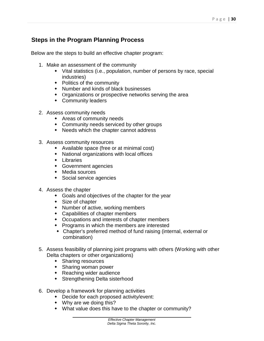#### **Steps in the Program Planning Process**

Below are the steps to build an effective chapter program:

- 1. Make an assessment of the community
	- Vital statistics (i.e., population, number of persons by race, special industries)
	- Politics of the community
	- Number and kinds of black businesses
	- Organizations or prospective networks serving the area
	- Community leaders
- 2. Assess community needs
	- Areas of community needs
	- Community needs serviced by other groups
	- Needs which the chapter cannot address
- 3. Assess community resources
	- Available space (free or at minimal cost)
	- National organizations with local offices
	- Libraries
	- Government agencies
	- Media sources
	- Social service agencies
- 4. Assess the chapter
	- Goals and objectives of the chapter for the year
	- Size of chapter
	- Number of active, working members
	- Capabilities of chapter members
	- Occupations and interests of chapter members
	- Programs in which the members are interested
	- Chapter's preferred method of fund raising (internal, external or combination)
- 5. Assess feasibility of planning joint programs with others (Working with other Delta chapters or other organizations)
	- **+** Sharing resources
	- Sharing woman power
	- **\*** Reaching wider audience
	- **\*** Strengthening Delta sisterhood
- 6. Develop a framework for planning activities
	- Decide for each proposed activity/event:
		- Why are we doing this?
		- What value does this have to the chapter or community?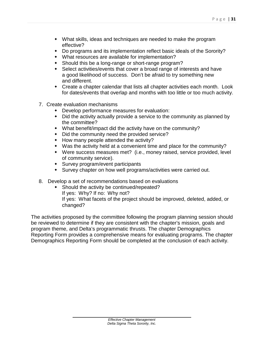- What skills, ideas and techniques are needed to make the program effective?
- Do programs and its implementation reflect basic ideals of the Sorority?
- What resources are available for implementation?
- Should this be a long-range or short-range program?
- Select activities/events that cover a broad range of interests and have a good likelihood of success. Don't be afraid to try something new and different.
- Create a chapter calendar that lists all chapter activities each month. Look for dates/events that overlap and months with too little or too much activity.
- 7. Create evaluation mechanisms
	- Develop performance measures for evaluation:
	- Did the activity actually provide a service to the community as planned by the committee?
	- What benefit/impact did the activity have on the community?
	- Did the community need the provided service?
	- How many people attended the activity?
	- Was the activity held at a convenient time and place for the community?
	- Were success measures met? (i.e., money raised, service provided, level of community service).
	- Survey program/event participants
	- Survey chapter on how well programs/activities were carried out.
- 8. Develop a set of recommendations based on evaluations
	- Should the activity be continued/repeated? If yes: Why? If no: Why not? If yes: What facets of the project should be improved, deleted, added, or changed?

The activities proposed by the committee following the program planning session should be reviewed to determine if they are consistent with the chapter's mission, goals and program theme, and Delta's programmatic thrusts. The chapter Demographics Reporting Form provides a comprehensive means for evaluating programs. The chapter Demographics Reporting Form should be completed at the conclusion of each activity.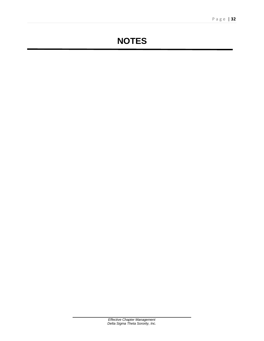## **NOTES**